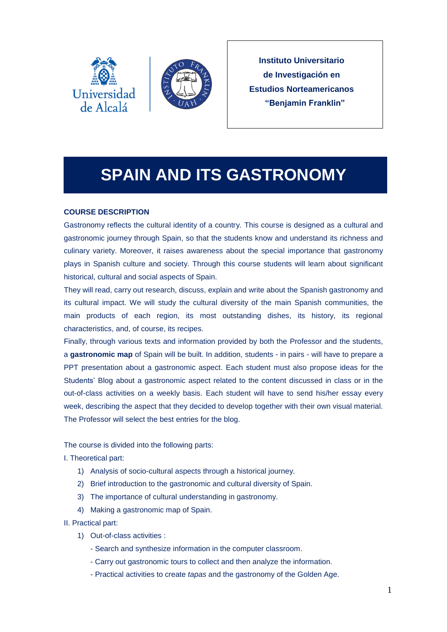



**Instituto Universitario de Investigación en Estudios Norteamericanos "Benjamin Franklin"**

# **SPAIN AND ITS GASTRONOMY**

## **COURSE DESCRIPTION**

Gastronomy reflects the cultural identity of a country. This course is designed as a cultural and gastronomic journey through Spain, so that the students know and understand its richness and culinary variety. Moreover, it raises awareness about the special importance that gastronomy plays in Spanish culture and society. Through this course students will learn about significant historical, cultural and social aspects of Spain.

They will read, carry out research, discuss, explain and write about the Spanish gastronomy and its cultural impact. We will study the cultural diversity of the main Spanish communities, the main products of each region, its most outstanding dishes, its history, its regional characteristics, and, of course, its recipes.

Finally, through various texts and information provided by both the Professor and the students, a **gastronomic map** of Spain will be built. In addition, students - in pairs - will have to prepare a PPT presentation about a gastronomic aspect. Each student must also propose ideas for the Students' Blog about a gastronomic aspect related to the content discussed in class or in the out-of-class activities on a weekly basis. Each student will have to send his/her essay every week, describing the aspect that they decided to develop together with their own visual material. The Professor will select the best entries for the blog.

The course is divided into the following parts:

I. Theoretical part:

- 1) Analysis of socio-cultural aspects through a historical journey.
- 2) Brief introduction to the gastronomic and cultural diversity of Spain.
- 3) The importance of cultural understanding in gastronomy.
- 4) Making a gastronomic map of Spain.

II. Practical part:

- 1) Out-of-class activities :
	- Search and synthesize information in the computer classroom.
	- Carry out gastronomic tours to collect and then analyze the information.
	- Practical activities to create *tapas* and the gastronomy of the Golden Age.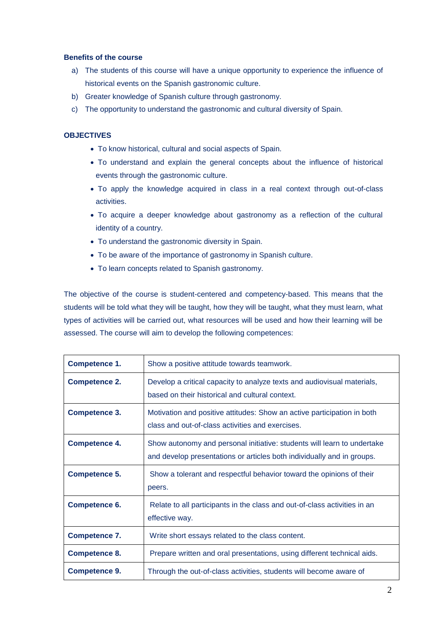### **Benefits of the course**

- a) The students of this course will have a unique opportunity to experience the influence of historical events on the Spanish gastronomic culture.
- b) Greater knowledge of Spanish culture through gastronomy.
- c) The opportunity to understand the gastronomic and cultural diversity of Spain.

## **OBJECTIVES**

- To know historical, cultural and social aspects of Spain.
- To understand and explain the general concepts about the influence of historical events through the gastronomic culture.
- To apply the knowledge acquired in class in a real context through out-of-class activities.
- To acquire a deeper knowledge about gastronomy as a reflection of the cultural identity of a country.
- To understand the gastronomic diversity in Spain.
- To be aware of the importance of gastronomy in Spanish culture.
- To learn concepts related to Spanish gastronomy.

The objective of the course is student-centered and competency-based. This means that the students will be told what they will be taught, how they will be taught, what they must learn, what types of activities will be carried out, what resources will be used and how their learning will be assessed. The course will aim to develop the following competences:

| Competence 1.        | Show a positive attitude towards teamwork.                                                                                                        |
|----------------------|---------------------------------------------------------------------------------------------------------------------------------------------------|
| <b>Competence 2.</b> | Develop a critical capacity to analyze texts and audiovisual materials,<br>based on their historical and cultural context.                        |
| <b>Competence 3.</b> | Motivation and positive attitudes: Show an active participation in both<br>class and out-of-class activities and exercises.                       |
| <b>Competence 4.</b> | Show autonomy and personal initiative: students will learn to undertake<br>and develop presentations or articles both individually and in groups. |
| <b>Competence 5.</b> | Show a tolerant and respectful behavior toward the opinions of their<br>peers.                                                                    |
| <b>Competence 6.</b> | Relate to all participants in the class and out-of-class activities in an<br>effective way.                                                       |
| <b>Competence 7.</b> | Write short essays related to the class content.                                                                                                  |
| <b>Competence 8.</b> | Prepare written and oral presentations, using different technical aids.                                                                           |
| <b>Competence 9.</b> | Through the out-of-class activities, students will become aware of                                                                                |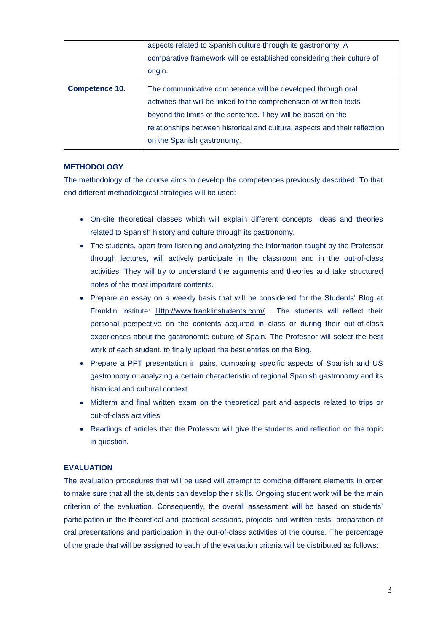|                       | aspects related to Spanish culture through its gastronomy. A<br>comparative framework will be established considering their culture of |
|-----------------------|----------------------------------------------------------------------------------------------------------------------------------------|
|                       | origin.                                                                                                                                |
| <b>Competence 10.</b> | The communicative competence will be developed through oral                                                                            |
|                       | activities that will be linked to the comprehension of written texts                                                                   |
|                       | beyond the limits of the sentence. They will be based on the                                                                           |
|                       | relationships between historical and cultural aspects and their reflection                                                             |
|                       | on the Spanish gastronomy.                                                                                                             |

#### **METHODOLOGY**

The methodology of the course aims to develop the competences previously described. To that end different methodological strategies will be used:

- On-site theoretical classes which will explain different concepts, ideas and theories related to Spanish history and culture through its gastronomy.
- The students, apart from listening and analyzing the information taught by the Professor through lectures, will actively participate in the classroom and in the out-of-class activities. They will try to understand the arguments and theories and take structured notes of the most important contents.
- Prepare an essay on a weekly basis that will be considered for the Students' Blog at Franklin Institute: [Http://www.franklinstudents.com/](http://www.franklinstudents.com/) . The students will reflect their personal perspective on the contents acquired in class or during their out-of-class experiences about the gastronomic culture of Spain. The Professor will select the best work of each student, to finally upload the best entries on the Blog.
- Prepare a PPT presentation in pairs, comparing specific aspects of Spanish and US gastronomy or analyzing a certain characteristic of regional Spanish gastronomy and its historical and cultural context.
- Midterm and final written exam on the theoretical part and aspects related to trips or out-of-class activities.
- Readings of articles that the Professor will give the students and reflection on the topic in question.

#### **EVALUATION**

The evaluation procedures that will be used will attempt to combine different elements in order to make sure that all the students can develop their skills. Ongoing student work will be the main criterion of the evaluation. Consequently, the overall assessment will be based on students' participation in the theoretical and practical sessions, projects and written tests, preparation of oral presentations and participation in the out-of-class activities of the course. The percentage of the grade that will be assigned to each of the evaluation criteria will be distributed as follows: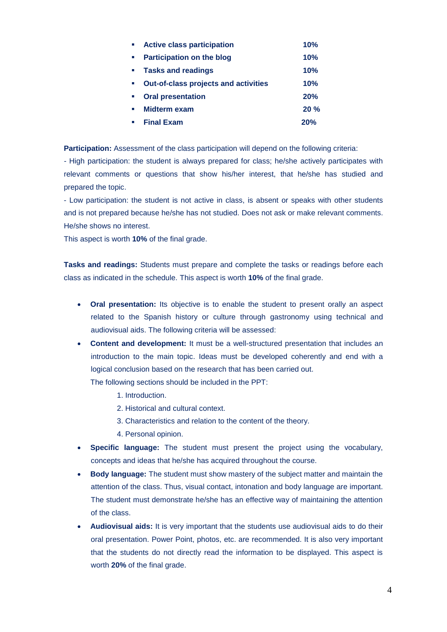|                             | <b>Active class participation</b>           | 10% |
|-----------------------------|---------------------------------------------|-----|
|                             | <b>Participation on the blog</b>            | 10% |
|                             | • Tasks and readings                        | 10% |
|                             | <b>Out-of-class projects and activities</b> | 10% |
| $\mathcal{L}_{\mathcal{A}}$ | <b>Oral presentation</b>                    | 20% |
| $\mathbf{r}$                | <b>Midterm exam</b>                         | 20% |
|                             | <b>Final Exam</b>                           | 20% |

**Participation:** Assessment of the class participation will depend on the following criteria:

*-* High participation: the student is always prepared for class; he/she actively participates with relevant comments or questions that show his/her interest, that he/she has studied and prepared the topic.

- Low participation: the student is not active in class, is absent or speaks with other students and is not prepared because he/she has not studied. Does not ask or make relevant comments. He/she shows no interest.

This aspect is worth **10%** of the final grade.

**Tasks and readings:** Students must prepare and complete the tasks or readings before each class as indicated in the schedule. This aspect is worth **10%** of the final grade.

- **Oral presentation:** Its objective is to enable the student to present orally an aspect related to the Spanish history or culture through gastronomy using technical and audiovisual aids. The following criteria will be assessed:
- **Content and development:** It must be a well-structured presentation that includes an introduction to the main topic. Ideas must be developed coherently and end with a logical conclusion based on the research that has been carried out.

The following sections should be included in the PPT:

- 1. Introduction.
- 2. Historical and cultural context.
- 3. Characteristics and relation to the content of the theory.
- 4. Personal opinion.
- **Specific language:** The student must present the project using the vocabulary, concepts and ideas that he/she has acquired throughout the course.
- **Body language:** The student must show mastery of the subject matter and maintain the attention of the class. Thus, visual contact, intonation and body language are important. The student must demonstrate he/she has an effective way of maintaining the attention of the class.
- **Audiovisual aids:** It is very important that the students use audiovisual aids to do their oral presentation. Power Point, photos, etc. are recommended. It is also very important that the students do not directly read the information to be displayed. This aspect is worth **20%** of the final grade.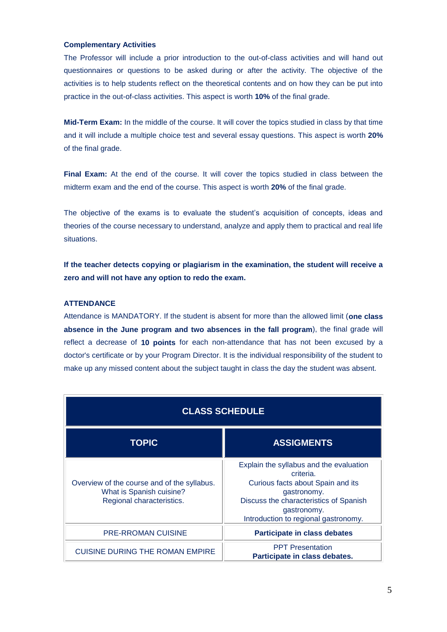## **Complementary Activities**

The Professor will include a prior introduction to the out-of-class activities and will hand out questionnaires or questions to be asked during or after the activity. The objective of the activities is to help students reflect on the theoretical contents and on how they can be put into practice in the out-of-class activities. This aspect is worth **10%** of the final grade.

**Mid-Term Exam:** In the middle of the course. It will cover the topics studied in class by that time and it will include a multiple choice test and several essay questions. This aspect is worth **20%** of the final grade.

**Final Exam:** At the end of the course. It will cover the topics studied in class between the midterm exam and the end of the course. This aspect is worth **20%** of the final grade.

The objective of the exams is to evaluate the student's acquisition of concepts, ideas and theories of the course necessary to understand, analyze and apply them to practical and real life situations.

**If the teacher detects copying or plagiarism in the examination, the student will receive a zero and will not have any option to redo the exam.**

#### **ATTENDANCE**

Attendance is MANDATORY. If the student is absent for more than the allowed limit (**one class absence in the June program and two absences in the fall program**), the final grade will reflect a decrease of **10 points** for each non-attendance that has not been excused by a doctor's certificate or by your Program Director. It is the individual responsibility of the student to make up any missed content about the subject taught in class the day the student was absent.

| <b>CLASS SCHEDULE</b>                                                                                |                                                                                                                                                                                                           |  |  |  |
|------------------------------------------------------------------------------------------------------|-----------------------------------------------------------------------------------------------------------------------------------------------------------------------------------------------------------|--|--|--|
| <b>TOPIC</b>                                                                                         | <b>ASSIGMENTS</b>                                                                                                                                                                                         |  |  |  |
| Overview of the course and of the syllabus.<br>What is Spanish cuisine?<br>Regional characteristics. | Explain the syllabus and the evaluation<br>criteria.<br>Curious facts about Spain and its<br>gastronomy.<br>Discuss the characteristics of Spanish<br>gastronomy.<br>Introduction to regional gastronomy. |  |  |  |
| <b>PRE-RROMAN CUISINE</b>                                                                            | <b>Participate in class debates</b>                                                                                                                                                                       |  |  |  |
| <b>CUISINE DURING THE ROMAN EMPIRE</b>                                                               | <b>PPT</b> Presentation<br>Participate in class debates.                                                                                                                                                  |  |  |  |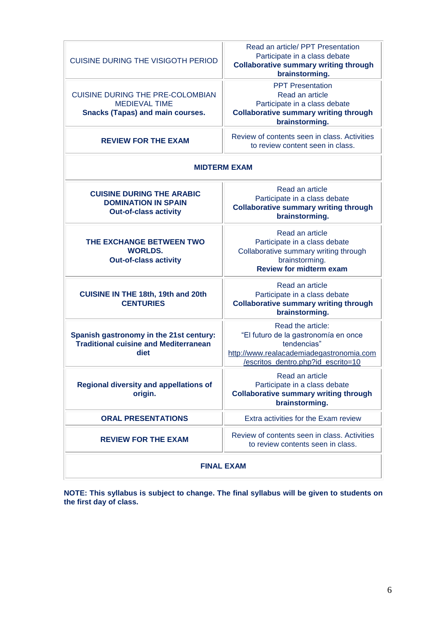| <b>CUISINE DURING THE VISIGOTH PERIOD</b>                                                                  | Read an article/ PPT Presentation<br>Participate in a class debate<br><b>Collaborative summary writing through</b><br>brainstorming.                       |  |  |  |
|------------------------------------------------------------------------------------------------------------|------------------------------------------------------------------------------------------------------------------------------------------------------------|--|--|--|
| <b>CUISINE DURING THE PRE-COLOMBIAN</b><br><b>MEDIEVAL TIME</b><br><b>Snacks (Tapas) and main courses.</b> | <b>PPT Presentation</b><br>Read an article<br>Participate in a class debate<br><b>Collaborative summary writing through</b><br>brainstorming.              |  |  |  |
| <b>REVIEW FOR THE EXAM</b>                                                                                 | Review of contents seen in class. Activities<br>to review content seen in class.                                                                           |  |  |  |
| <b>MIDTERM EXAM</b>                                                                                        |                                                                                                                                                            |  |  |  |
| <b>CUISINE DURING THE ARABIC</b><br><b>DOMINATION IN SPAIN</b><br><b>Out-of-class activity</b>             | Read an article<br>Participate in a class debate<br><b>Collaborative summary writing through</b><br>brainstorming.                                         |  |  |  |
| THE EXCHANGE BETWEEN TWO<br><b>WORLDS.</b><br><b>Out-of-class activity</b>                                 | Read an article<br>Participate in a class debate<br>Collaborative summary writing through<br>brainstorming.<br><b>Review for midterm exam</b>              |  |  |  |
| <b>CUISINE IN THE 18th, 19th and 20th</b><br><b>CENTURIES</b>                                              | Read an article<br>Participate in a class debate<br><b>Collaborative summary writing through</b><br>brainstorming.                                         |  |  |  |
| Spanish gastronomy in the 21st century:<br><b>Traditional cuisine and Mediterranean</b><br>diet            | Read the article:<br>"El futuro de la gastronomía en once<br>tendencias"<br>http://www.realacademiadegastronomia.com<br>/escritos_dentro.php?id_escrito=10 |  |  |  |
| <b>Regional diversity and appellations of</b><br>origin.                                                   | Read an article<br>Participate in a class debate<br><b>Collaborative summary writing through</b><br>brainstorming.                                         |  |  |  |
| <b>ORAL PRESENTATIONS</b>                                                                                  | Extra activities for the Exam review                                                                                                                       |  |  |  |
| <b>REVIEW FOR THE EXAM</b>                                                                                 | Review of contents seen in class. Activities<br>to review contents seen in class.                                                                          |  |  |  |
| <b>FINAL EXAM</b>                                                                                          |                                                                                                                                                            |  |  |  |

**NOTE: This syllabus is subject to change. The final syllabus will be given to students on the first day of class.**